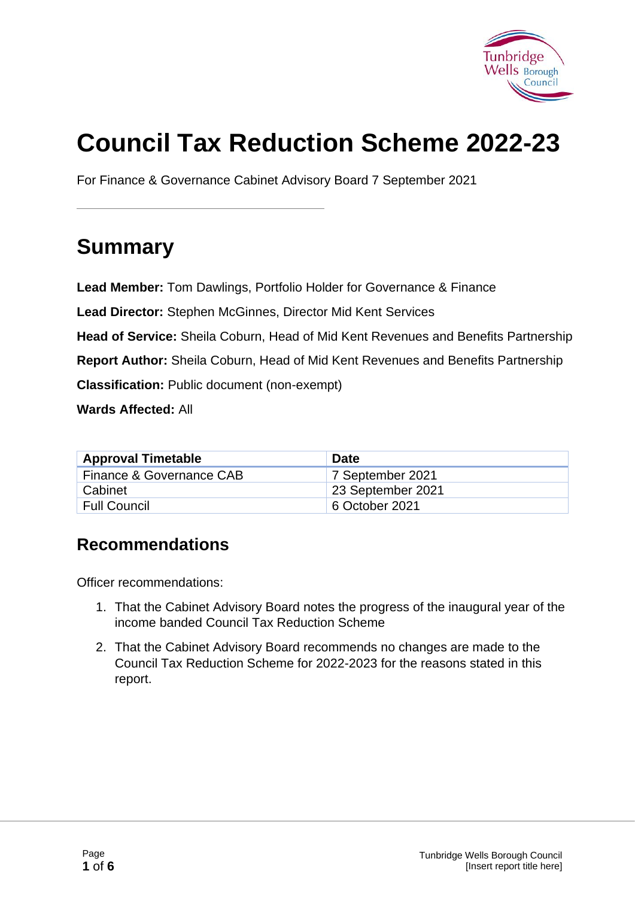

# **Council Tax Reduction Scheme 2022-23**

For Finance & Governance Cabinet Advisory Board 7 September 2021

# **Summary**

**Lead Member:** Tom Dawlings, Portfolio Holder for Governance & Finance

**Lead Director:** Stephen McGinnes, Director Mid Kent Services

**Head of Service:** Sheila Coburn, Head of Mid Kent Revenues and Benefits Partnership

**Report Author:** Sheila Coburn, Head of Mid Kent Revenues and Benefits Partnership

**Classification:** Public document (non-exempt)

**Wards Affected:** All

| <b>Approval Timetable</b> | <b>Date</b>       |
|---------------------------|-------------------|
| Finance & Governance CAB  | 7 September 2021  |
| Cabinet                   | 23 September 2021 |
| Full Council              | 6 October 2021    |

#### **Recommendations**

Officer recommendations:

- 1. That the Cabinet Advisory Board notes the progress of the inaugural year of the income banded Council Tax Reduction Scheme
- 2. That the Cabinet Advisory Board recommends no changes are made to the Council Tax Reduction Scheme for 2022-2023 for the reasons stated in this report.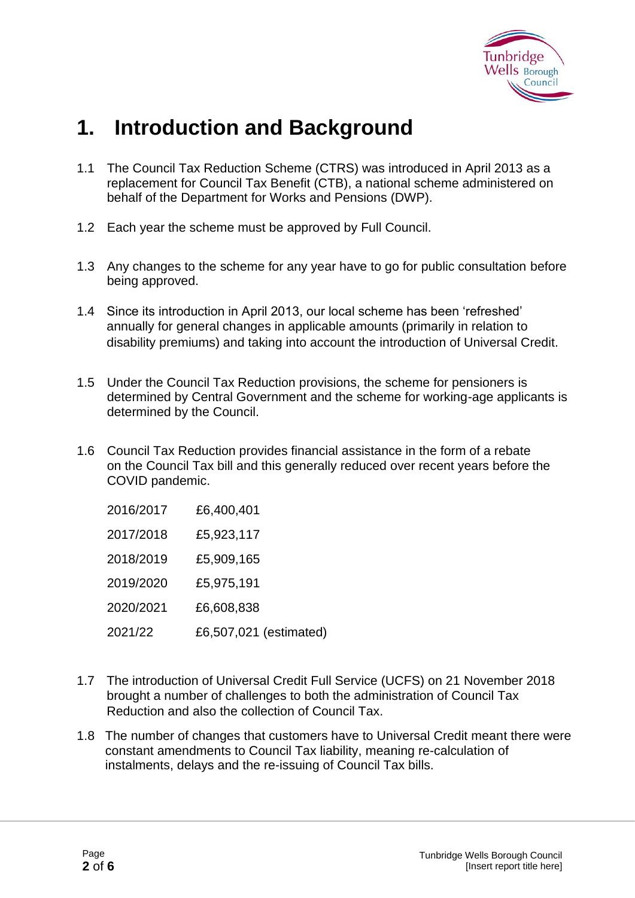

### **1. Introduction and Background**

- 1.1 The Council Tax Reduction Scheme (CTRS) was introduced in April 2013 as a replacement for Council Tax Benefit (CTB), a national scheme administered on behalf of the Department for Works and Pensions (DWP).
- 1.2 Each year the scheme must be approved by Full Council.
- 1.3 Any changes to the scheme for any year have to go for public consultation before being approved.
- 1.4 Since its introduction in April 2013, our local scheme has been 'refreshed' annually for general changes in applicable amounts (primarily in relation to disability premiums) and taking into account the introduction of Universal Credit.
- 1.5 Under the Council Tax Reduction provisions, the scheme for pensioners is determined by Central Government and the scheme for working-age applicants is determined by the Council.
- 1.6 Council Tax Reduction provides financial assistance in the form of a rebate on the Council Tax bill and this generally reduced over recent years before the COVID pandemic.

| 2016/2017 | £6,400,401             |
|-----------|------------------------|
| 2017/2018 | £5,923,117             |
| 2018/2019 | £5,909,165             |
| 2019/2020 | £5,975,191             |
| 2020/2021 | £6,608,838             |
| 2021/22   | £6,507,021 (estimated) |

- 1.7 The introduction of Universal Credit Full Service (UCFS) on 21 November 2018 brought a number of challenges to both the administration of Council Tax Reduction and also the collection of Council Tax.
- 1.8 The number of changes that customers have to Universal Credit meant there were constant amendments to Council Tax liability, meaning re-calculation of instalments, delays and the re-issuing of Council Tax bills.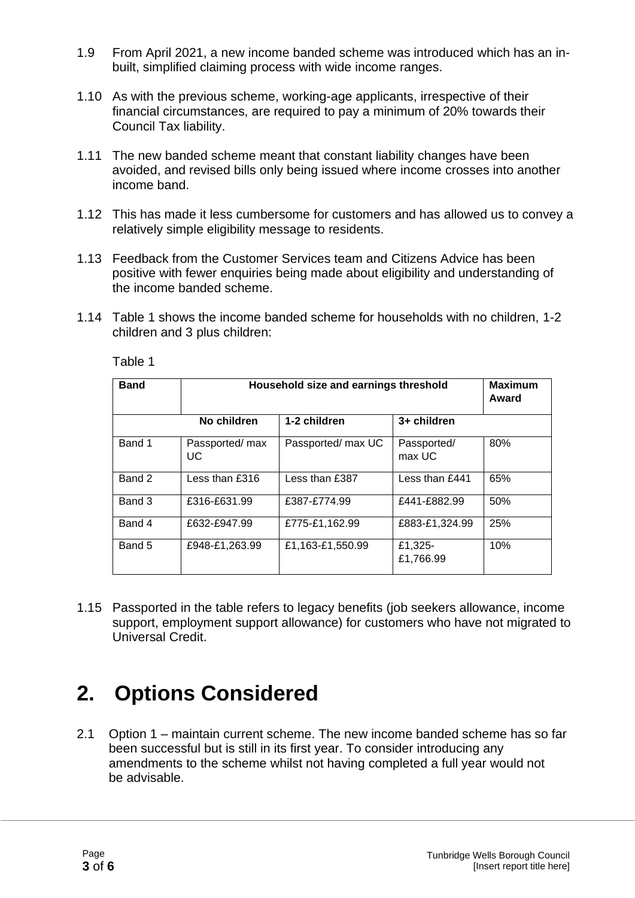- 1.9 From April 2021, a new income banded scheme was introduced which has an in built, simplified claiming process with wide income ranges.
- 1.10 As with the previous scheme, working-age applicants, irrespective of their financial circumstances, are required to pay a minimum of 20% towards their Council Tax liability.
- 1.11 The new banded scheme meant that constant liability changes have been avoided, and revised bills only being issued where income crosses into another income band.
- 1.12 This has made it less cumbersome for customers and has allowed us to convey a relatively simple eligibility message to residents.
- 1.13 Feedback from the Customer Services team and Citizens Advice has been positive with fewer enquiries being made about eligibility and understanding of the income banded scheme.
- 1.14 Table 1 shows the income banded scheme for households with no children, 1-2 children and 3 plus children:

| <b>Band</b> | Household size and earnings threshold |                    |                       | <b>Maximum</b><br>Award |
|-------------|---------------------------------------|--------------------|-----------------------|-------------------------|
|             | No children                           | 1-2 children       | 3+ children           |                         |
| Band 1      | Passported/ max<br>UC.                | Passported/ max UC | Passported/<br>max UC | 80%                     |
| Band 2      | Less than $£316$                      | Less than £387     | Less than $f$ 441     | 65%                     |
| Band 3      | £316-£631.99                          | £387-£774.99       | £441-£882.99          | 50%                     |
| Band 4      | £632-£947.99                          | £775-£1.162.99     | £883-£1,324.99        | 25%                     |
| Band 5      | £948-£1,263.99                        | £1,163-£1,550.99   | £1,325-<br>£1,766.99  | 10%                     |

Table 1

1.15 Passported in the table refers to legacy benefits (job seekers allowance, income support, employment support allowance) for customers who have not migrated to Universal Credit.

### **2. Options Considered**

2.1 Option 1 – maintain current scheme. The new income banded scheme has so far been successful but is still in its first year. To consider introducing any amendments to the scheme whilst not having completed a full year would not be advisable.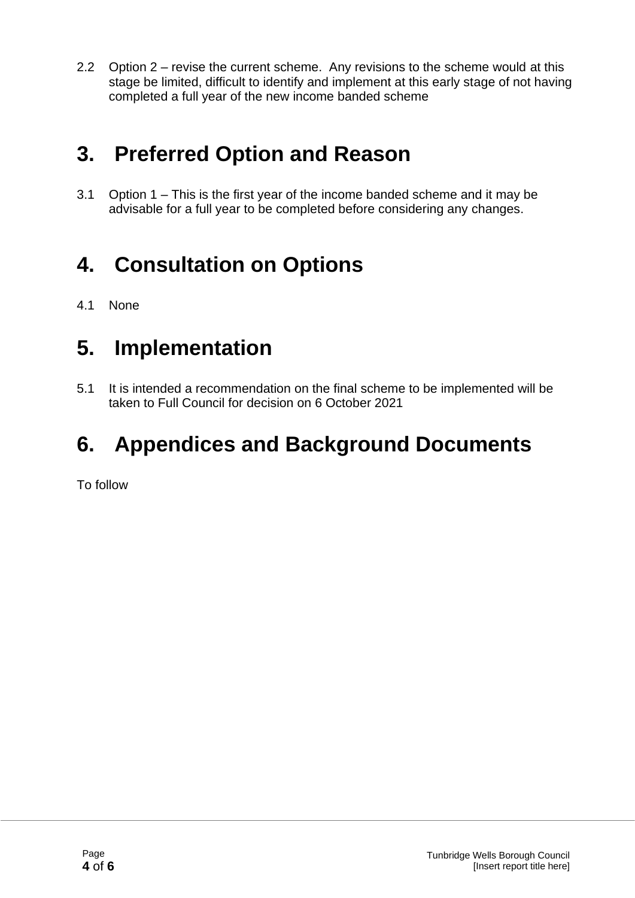2.2 Option 2 – revise the current scheme. Any revisions to the scheme would at this stage be limited, difficult to identify and implement at this early stage of not having completed a full year of the new income banded scheme

### **3. Preferred Option and Reason**

3.1 Option 1 – This is the first year of the income banded scheme and it may be advisable for a full year to be completed before considering any changes.

# **4. Consultation on Options**

4.1 None

### **5. Implementation**

5.1 It is intended a recommendation on the final scheme to be implemented will be taken to Full Council for decision on 6 October 2021

# **6. Appendices and Background Documents**

To follow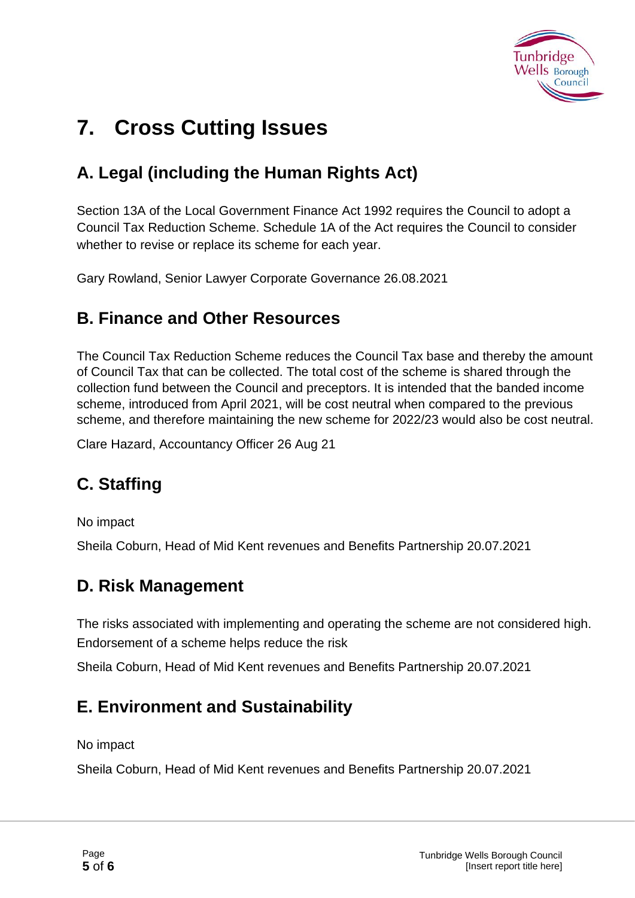

# **7. Cross Cutting Issues**

### **A. Legal (including the Human Rights Act)**

Section 13A of the Local Government Finance Act 1992 requires the Council to adopt a Council Tax Reduction Scheme. Schedule 1A of the Act requires the Council to consider whether to revise or replace its scheme for each year.

Gary Rowland, Senior Lawyer Corporate Governance 26.08.2021

#### **B. Finance and Other Resources**

The Council Tax Reduction Scheme reduces the Council Tax base and thereby the amount of Council Tax that can be collected. The total cost of the scheme is shared through the collection fund between the Council and preceptors. It is intended that the banded income scheme, introduced from April 2021, will be cost neutral when compared to the previous scheme, and therefore maintaining the new scheme for 2022/23 would also be cost neutral.

Clare Hazard, Accountancy Officer 26 Aug 21

### **C. Staffing**

No impact

Sheila Coburn, Head of Mid Kent revenues and Benefits Partnership 20.07.2021

#### **D. Risk Management**

The risks associated with implementing and operating the scheme are not considered high. Endorsement of a scheme helps reduce the risk

Sheila Coburn, Head of Mid Kent revenues and Benefits Partnership 20.07.2021

#### **E. Environment and Sustainability**

No impact

Sheila Coburn, Head of Mid Kent revenues and Benefits Partnership 20.07.2021